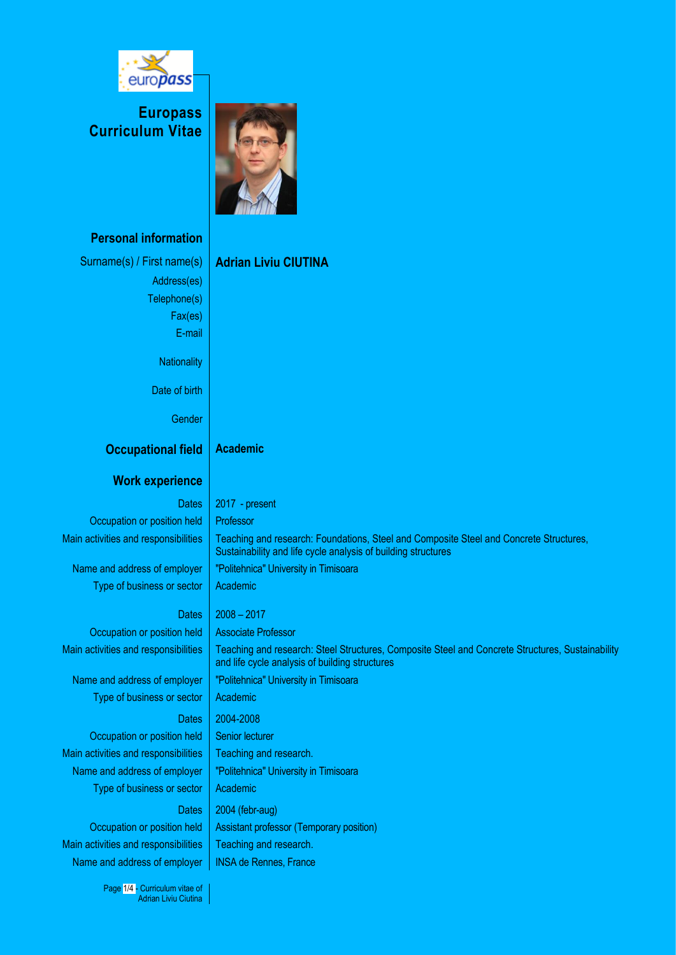

**Europass Curriculum Vitae**



### **Personal information**

Surname(s) / First name(s) **Adrian Liviu CIUTINA** Address(es) Telephone(s) Fax(es) E-mail **Nationality** 

**Occupational field Academic**

Gender

Date of birth

### **Work experience**

Occupation or position held | Professor

Type of business or sector  $\vert$  Academic

### Dates  $\vert$  2008 – 2017

Occupation or position held | Associate Professor Main activities and responsibilities Teaching and research: Steel Structures, Composite Steel and Concrete Structures, Sustainability

Name and address of employer | "Politehnica" University in Timisoara Type of business or sector  $\vert$  Academic

Dates 2004-2008

Occupation or position held | Senior lecturer Main activities and responsibilities  $\parallel$  Teaching and research. Name and address of employer | "Politehnica" University in Timisoara Type of business or sector  $\vert$  Academic

# Dates  $\vert$  2004 (febr-aug) Occupation or position held | Assistant professor (Temporary position)

Main activities and responsibilities  $\vert$  Teaching and research. Name and address of employer | INSA de Rennes, France

> Page 1/4 - Curriculum vitae of Adrian Liviu Ciutina

Dates  $\vert$  2017 - present Main activities and responsibilities Teaching and research: Foundations, Steel and Composite Steel and Concrete Structures, Sustainability and life cycle analysis of building structures Name and address of employer | "Politehnica" University in Timisoara

and life cycle analysis of building structures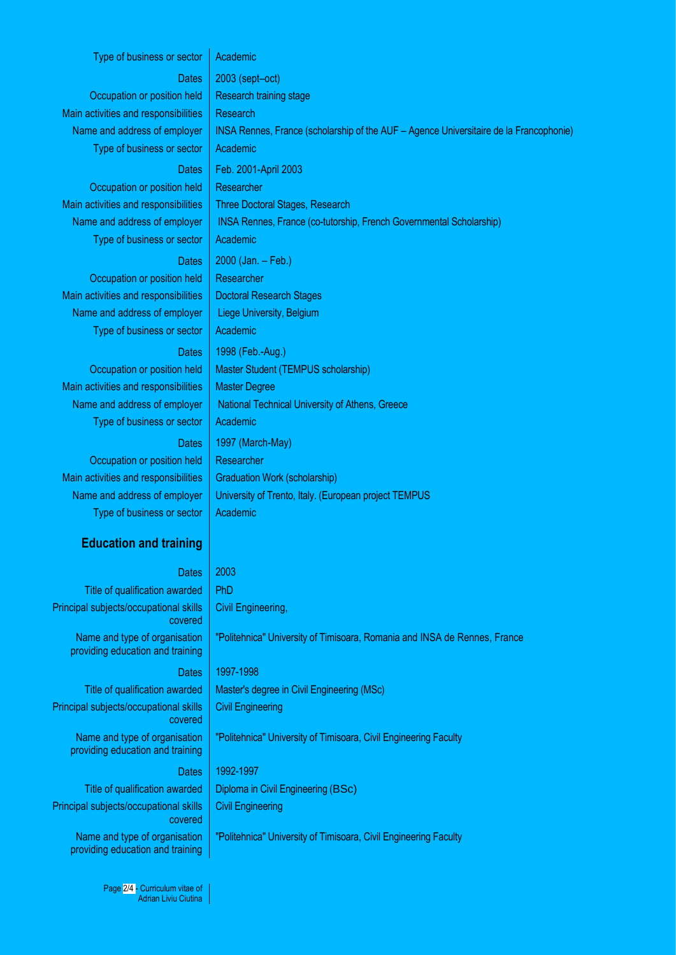### Type of business or sector  $\vert$  Academic

Occupation or position held  $\parallel$  Research training stage Main activities and responsibilities | Research Type of business or sector  $\vert$  Academic

## Dates | 2003 (sept–oct) Name and address of employer | INSA Rennes, France (scholarship of the AUF – Agence Universitaire de la Francophonie) Dates Feb. 2001-April 2003 Occupation or position held | Researcher Main activities and responsibilities Three Doctoral Stages, Research Name and address of employer | INSA Rennes, France (co-tutorship, French Governmental Scholarship)

Occupation or position held | Researcher Main activities and responsibilities Doctoral Research Stages Name and address of employer | Liege University, Belgium Type of business or sector  $\vert$  Academic

Main activities and responsibilities  $\parallel$  Master Degree Type of business or sector  $\vert$  Academic

Occupation or position held | Researcher Main activities and responsibilities Graduation Work (scholarship) Type of business or sector  $\vert$  Academic

### **Education and training**

### Dates 2003

Title of qualification awarded | PhD Principal subjects/occupational skills covered Name and type of organisation providing education and training

Principal subjects/occupational skills covered Name and type of organisation

providing education and training

Principal subjects/occupational skills covered Name and type of organisation providing education and training

Type of business or sector  $\vert$  Academic Dates  $\vert$  2000 (Jan. – Feb.) Dates | 1998 (Feb.-Aug.) Occupation or position held | Master Student (TEMPUS scholarship) Name and address of employer  $\parallel$  National Technical University of Athens, Greece Dates | 1997 (March-May)

Name and address of employer | University of Trento, Italy. (European project TEMPUS

Civil Engineering,

"Politehnica" University of Timisoara, Romania and INSA de Rennes, France

### Dates | 1997-1998

Title of qualification awarded  $\parallel$  Master's degree in Civil Engineering (MSc) Civil Engineering

"Politehnica" University of Timisoara, Civil Engineering Faculty

### Dates 1992-1997

Title of qualification awarded  $\parallel$  Diploma in Civil Engineering (BSc) Civil Engineering

"Politehnica" University of Timisoara, Civil Engineering Faculty

Page 2/4 - Curriculum vitae of Adrian Liviu Ciutina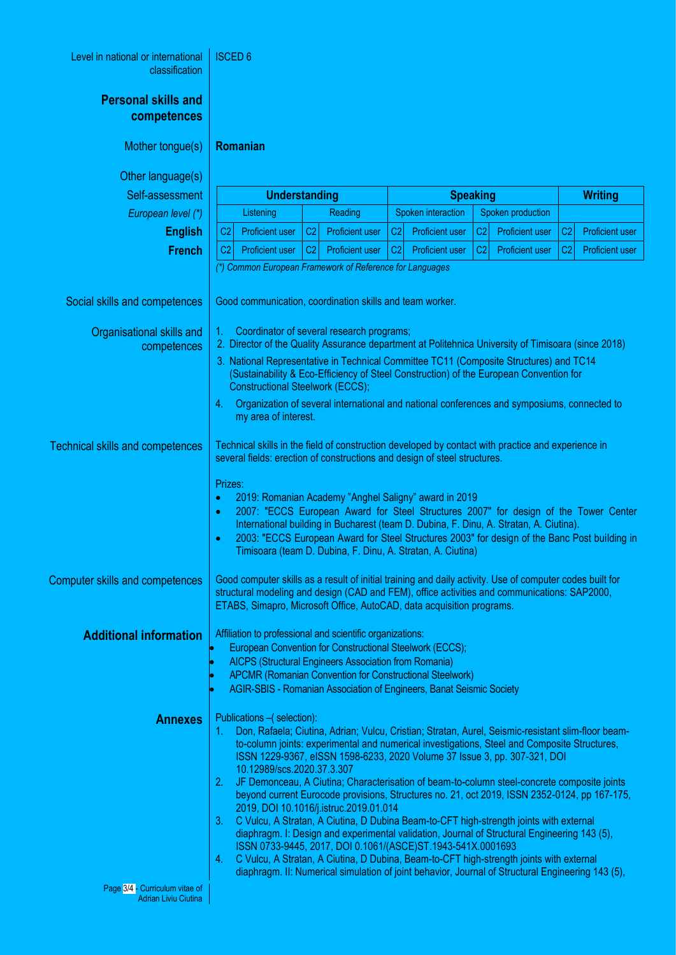| Level in national or international<br>classification   | <b>ISCED 6</b>                                                                                                                                                                                                                                                                                                                                                                                                                                                                                                                                                                                                                                                                                                                                                                                                                                                                                                                                                                                                                                                         |                |                        |                    |                        |                   |                        |                |                        |  |
|--------------------------------------------------------|------------------------------------------------------------------------------------------------------------------------------------------------------------------------------------------------------------------------------------------------------------------------------------------------------------------------------------------------------------------------------------------------------------------------------------------------------------------------------------------------------------------------------------------------------------------------------------------------------------------------------------------------------------------------------------------------------------------------------------------------------------------------------------------------------------------------------------------------------------------------------------------------------------------------------------------------------------------------------------------------------------------------------------------------------------------------|----------------|------------------------|--------------------|------------------------|-------------------|------------------------|----------------|------------------------|--|
| <b>Personal skills and</b><br>competences              |                                                                                                                                                                                                                                                                                                                                                                                                                                                                                                                                                                                                                                                                                                                                                                                                                                                                                                                                                                                                                                                                        |                |                        |                    |                        |                   |                        |                |                        |  |
| Mother tongue(s)                                       | Romanian                                                                                                                                                                                                                                                                                                                                                                                                                                                                                                                                                                                                                                                                                                                                                                                                                                                                                                                                                                                                                                                               |                |                        |                    |                        |                   |                        |                |                        |  |
| Other language(s)                                      |                                                                                                                                                                                                                                                                                                                                                                                                                                                                                                                                                                                                                                                                                                                                                                                                                                                                                                                                                                                                                                                                        |                |                        |                    |                        |                   |                        |                |                        |  |
| Self-assessment                                        | <b>Understanding</b>                                                                                                                                                                                                                                                                                                                                                                                                                                                                                                                                                                                                                                                                                                                                                                                                                                                                                                                                                                                                                                                   |                | <b>Speaking</b>        |                    |                        | <b>Writing</b>    |                        |                |                        |  |
| European level (*)                                     | Listening                                                                                                                                                                                                                                                                                                                                                                                                                                                                                                                                                                                                                                                                                                                                                                                                                                                                                                                                                                                                                                                              | Reading        |                        | Spoken interaction |                        | Spoken production |                        |                |                        |  |
| <b>English</b>                                         | C <sub>2</sub><br><b>Proficient user</b>                                                                                                                                                                                                                                                                                                                                                                                                                                                                                                                                                                                                                                                                                                                                                                                                                                                                                                                                                                                                                               | C <sub>2</sub> | <b>Proficient user</b> | C2                 | <b>Proficient user</b> | C <sub>2</sub>    | <b>Proficient user</b> | C <sub>2</sub> | <b>Proficient user</b> |  |
| <b>French</b>                                          | C <sub>2</sub><br><b>Proficient user</b>                                                                                                                                                                                                                                                                                                                                                                                                                                                                                                                                                                                                                                                                                                                                                                                                                                                                                                                                                                                                                               | C <sub>2</sub> | <b>Proficient user</b> | C <sub>2</sub>     | <b>Proficient user</b> | C <sub>2</sub>    | <b>Proficient user</b> | C2             | <b>Proficient user</b> |  |
|                                                        | (*) Common European Framework of Reference for Languages                                                                                                                                                                                                                                                                                                                                                                                                                                                                                                                                                                                                                                                                                                                                                                                                                                                                                                                                                                                                               |                |                        |                    |                        |                   |                        |                |                        |  |
| Social skills and competences                          | Good communication, coordination skills and team worker.                                                                                                                                                                                                                                                                                                                                                                                                                                                                                                                                                                                                                                                                                                                                                                                                                                                                                                                                                                                                               |                |                        |                    |                        |                   |                        |                |                        |  |
| Organisational skills and<br>competences               | Coordinator of several research programs;<br>1.<br>2. Director of the Quality Assurance department at Politehnica University of Timisoara (since 2018)<br>3. National Representative in Technical Committee TC11 (Composite Structures) and TC14<br>(Sustainability & Eco-Efficiency of Steel Construction) of the European Convention for<br><b>Constructional Steelwork (ECCS);</b><br>Organization of several international and national conferences and symposiums, connected to<br>4.<br>my area of interest.                                                                                                                                                                                                                                                                                                                                                                                                                                                                                                                                                     |                |                        |                    |                        |                   |                        |                |                        |  |
|                                                        |                                                                                                                                                                                                                                                                                                                                                                                                                                                                                                                                                                                                                                                                                                                                                                                                                                                                                                                                                                                                                                                                        |                |                        |                    |                        |                   |                        |                |                        |  |
|                                                        |                                                                                                                                                                                                                                                                                                                                                                                                                                                                                                                                                                                                                                                                                                                                                                                                                                                                                                                                                                                                                                                                        |                |                        |                    |                        |                   |                        |                |                        |  |
| <b>Technical skills and competences</b>                | Technical skills in the field of construction developed by contact with practice and experience in<br>several fields: erection of constructions and design of steel structures.                                                                                                                                                                                                                                                                                                                                                                                                                                                                                                                                                                                                                                                                                                                                                                                                                                                                                        |                |                        |                    |                        |                   |                        |                |                        |  |
|                                                        | Prizes:<br>2019: Romanian Academy "Anghel Saligny" award in 2019<br>٥<br>2007: "ECCS European Award for Steel Structures 2007" for design of the Tower Center<br>۰<br>International building in Bucharest (team D. Dubina, F. Dinu, A. Stratan, A. Ciutina).<br>2003: "ECCS European Award for Steel Structures 2003" for design of the Banc Post building in<br>٠<br>Timisoara (team D. Dubina, F. Dinu, A. Stratan, A. Ciutina)                                                                                                                                                                                                                                                                                                                                                                                                                                                                                                                                                                                                                                      |                |                        |                    |                        |                   |                        |                |                        |  |
| <b>Computer skills and competences</b>                 | Good computer skills as a result of initial training and daily activity. Use of computer codes built for<br>structural modeling and design (CAD and FEM), office activities and communications: SAP2000,<br>ETABS, Simapro, Microsoft Office, AutoCAD, data acquisition programs.                                                                                                                                                                                                                                                                                                                                                                                                                                                                                                                                                                                                                                                                                                                                                                                      |                |                        |                    |                        |                   |                        |                |                        |  |
| <b>Additional information</b>                          | Affiliation to professional and scientific organizations:                                                                                                                                                                                                                                                                                                                                                                                                                                                                                                                                                                                                                                                                                                                                                                                                                                                                                                                                                                                                              |                |                        |                    |                        |                   |                        |                |                        |  |
|                                                        | European Convention for Constructional Steelwork (ECCS);                                                                                                                                                                                                                                                                                                                                                                                                                                                                                                                                                                                                                                                                                                                                                                                                                                                                                                                                                                                                               |                |                        |                    |                        |                   |                        |                |                        |  |
|                                                        | AICPS (Structural Engineers Association from Romania)<br><b>APCMR (Romanian Convention for Constructional Steelwork)</b>                                                                                                                                                                                                                                                                                                                                                                                                                                                                                                                                                                                                                                                                                                                                                                                                                                                                                                                                               |                |                        |                    |                        |                   |                        |                |                        |  |
|                                                        | AGIR-SBIS - Romanian Association of Engineers, Banat Seismic Society                                                                                                                                                                                                                                                                                                                                                                                                                                                                                                                                                                                                                                                                                                                                                                                                                                                                                                                                                                                                   |                |                        |                    |                        |                   |                        |                |                        |  |
| <b>Annexes</b>                                         | Publications - (selection):<br>Don, Rafaela; Ciutina, Adrian; Vulcu, Cristian; Stratan, Aurel, Seismic-resistant slim-floor beam-<br>1.<br>to-column joints: experimental and numerical investigations, Steel and Composite Structures,<br>ISSN 1229-9367, eISSN 1598-6233, 2020 Volume 37 Issue 3, pp. 307-321, DOI<br>10.12989/scs.2020.37.3.307<br>JF Demonceau, A Ciutina; Characterisation of beam-to-column steel-concrete composite joints<br>2.<br>beyond current Eurocode provisions, Structures no. 21, oct 2019, ISSN 2352-0124, pp 167-175,<br>2019, DOI 10.1016/j.istruc.2019.01.014<br>C Vulcu, A Stratan, A Ciutina, D Dubina Beam-to-CFT high-strength joints with external<br>3.<br>diaphragm. I: Design and experimental validation, Journal of Structural Engineering 143 (5),<br>ISSN 0733-9445, 2017, DOI 0.1061/(ASCE)ST.1943-541X.0001693<br>C Vulcu, A Stratan, A Ciutina, D Dubina, Beam-to-CFT high-strength joints with external<br>4.<br>diaphragm. II: Numerical simulation of joint behavior, Journal of Structural Engineering 143 (5), |                |                        |                    |                        |                   |                        |                |                        |  |
| Page 3/4 - Curriculum vitae of<br>Adrian Liviu Ciutina |                                                                                                                                                                                                                                                                                                                                                                                                                                                                                                                                                                                                                                                                                                                                                                                                                                                                                                                                                                                                                                                                        |                |                        |                    |                        |                   |                        |                |                        |  |